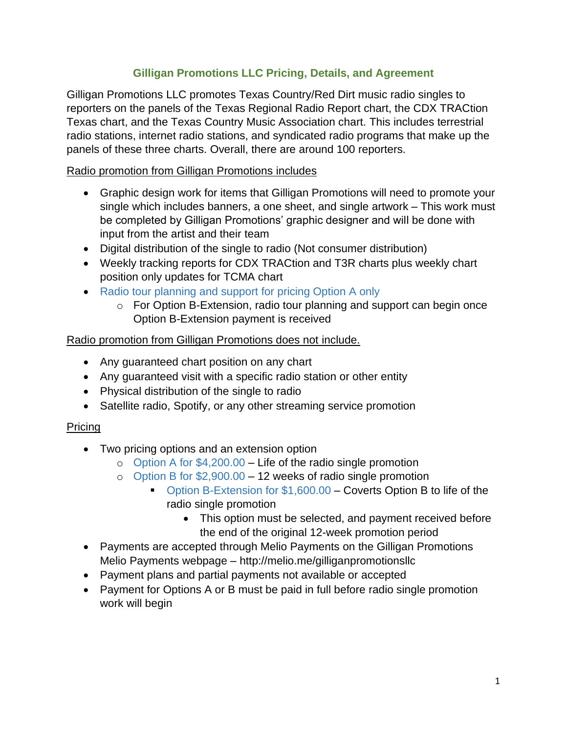# **Gilligan Promotions LLC Pricing, Details, and Agreement**

Gilligan Promotions LLC promotes Texas Country/Red Dirt music radio singles to reporters on the panels of the Texas Regional Radio Report chart, the CDX TRACtion Texas chart, and the Texas Country Music Association chart. This includes terrestrial radio stations, internet radio stations, and syndicated radio programs that make up the panels of these three charts. Overall, there are around 100 reporters.

## Radio promotion from Gilligan Promotions includes

- Graphic design work for items that Gilligan Promotions will need to promote your single which includes banners, a one sheet, and single artwork – This work must be completed by Gilligan Promotions' graphic designer and will be done with input from the artist and their team
- Digital distribution of the single to radio (Not consumer distribution)
- Weekly tracking reports for CDX TRACtion and T3R charts plus weekly chart position only updates for TCMA chart
- Radio tour planning and support for pricing Option A only
	- o For Option B-Extension, radio tour planning and support can begin once Option B-Extension payment is received

### Radio promotion from Gilligan Promotions does not include.

- Any guaranteed chart position on any chart
- Any guaranteed visit with a specific radio station or other entity
- Physical distribution of the single to radio
- Satellite radio, Spotify, or any other streaming service promotion

### Pricing

- Two pricing options and an extension option
	- $\circ$  Option A for \$4,200.00 Life of the radio single promotion
	- o Option B for \$2,900.00 12 weeks of radio single promotion
		- Option B-Extension for \$1,600.00 Coverts Option B to life of the radio single promotion
			- This option must be selected, and payment received before the end of the original 12-week promotion period
- Payments are accepted through Melio Payments on the Gilligan Promotions Melio Payments webpage – http://melio.me/gilliganpromotionsllc
- Payment plans and partial payments not available or accepted
- Payment for Options A or B must be paid in full before radio single promotion work will begin